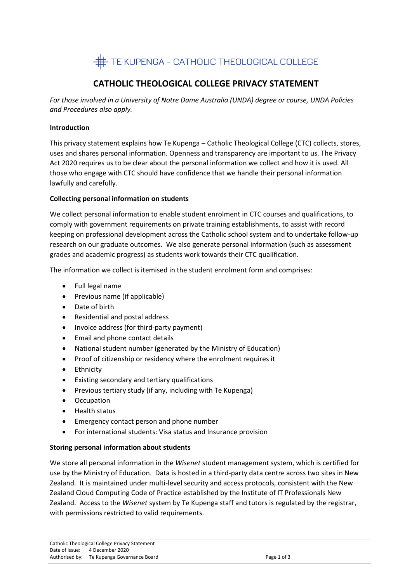

# **CATHOLIC THEOLOGICAL COLLEGE PRIVACY STATEMENT**

*For those involved in a University of Notre Dame Australia (UNDA) degree or course, UNDA Policies and Procedures also apply.*

### **Introduction**

This privacy statement explains how Te Kupenga – Catholic Theological College (CTC) collects, stores, uses and shares personal information. Openness and transparency are important to us. The Privacy Act 2020 requires us to be clear about the personal information we collect and how it is used. All those who engage with CTC should have confidence that we handle their personal information lawfully and carefully.

#### **Collecting personal information on students**

We collect personal information to enable student enrolment in CTC courses and qualifications, to comply with government requirements on private training establishments, to assist with record keeping on professional development across the Catholic school system and to undertake follow-up research on our graduate outcomes. We also generate personal information (such as assessment grades and academic progress) as students work towards their CTC qualification.

The information we collect is itemised in the student enrolment form and comprises:

- Full legal name
- Previous name (if applicable)
- Date of birth
- Residential and postal address
- Invoice address (for third-party payment)
- Email and phone contact details
- National student number (generated by the Ministry of Education)
- Proof of citizenship or residency where the enrolment requires it
- Ethnicity
- Existing secondary and tertiary qualifications
- Previous tertiary study (if any, including with Te Kupenga)
- Occupation
- Health status
- Emergency contact person and phone number
- For international students: Visa status and Insurance provision

### **Storing personal information about students**

We store all personal information in the *Wisenet* student management system, which is certified for use by the Ministry of Education. Data is hosted in a third-party data centre across two sites in New Zealand. It is maintained under multi-level security and access protocols, consistent with the New Zealand Cloud Computing Code of Practice established by the Institute of IT Professionals New Zealand. Access to the *Wisenet* system by Te Kupenga staff and tutors is regulated by the registrar, with permissions restricted to valid requirements.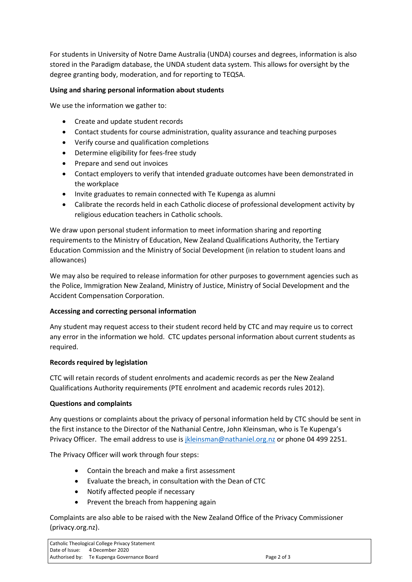For students in University of Notre Dame Australia (UNDA) courses and degrees, information is also stored in the Paradigm database, the UNDA student data system. This allows for oversight by the degree granting body, moderation, and for reporting to TEQSA.

### **Using and sharing personal information about students**

We use the information we gather to:

- Create and update student records
- Contact students for course administration, quality assurance and teaching purposes
- Verify course and qualification completions
- Determine eligibility for fees-free study
- Prepare and send out invoices
- Contact employers to verify that intended graduate outcomes have been demonstrated in the workplace
- Invite graduates to remain connected with Te Kupenga as alumni
- Calibrate the records held in each Catholic diocese of professional development activity by religious education teachers in Catholic schools.

We draw upon personal student information to meet information sharing and reporting requirements to the Ministry of Education, New Zealand Qualifications Authority, the Tertiary Education Commission and the Ministry of Social Development (in relation to student loans and allowances)

We may also be required to release information for other purposes to government agencies such as the Police, Immigration New Zealand, Ministry of Justice, Ministry of Social Development and the Accident Compensation Corporation.

## **Accessing and correcting personal information**

Any student may request access to their student record held by CTC and may require us to correct any error in the information we hold. CTC updates personal information about current students as required.

## **Records required by legislation**

CTC will retain records of student enrolments and academic records as per the New Zealand Qualifications Authority requirements (PTE enrolment and academic records rules 2012).

### **Questions and complaints**

Any questions or complaints about the privacy of personal information held by CTC should be sent in the first instance to the Director of the Nathanial Centre, John Kleinsman, who is Te Kupenga's Privacy Officer. The email address to use is *jkleinsman@nathaniel.org.nz* or phone 04 499 2251.

The Privacy Officer will work through four steps:

- Contain the breach and make a first assessment
- Evaluate the breach, in consultation with the Dean of CTC
- Notify affected people if necessary
- Prevent the breach from happening again

Complaints are also able to be raised with the New Zealand Office of the Privacy Commissioner (privacy.org.nz).